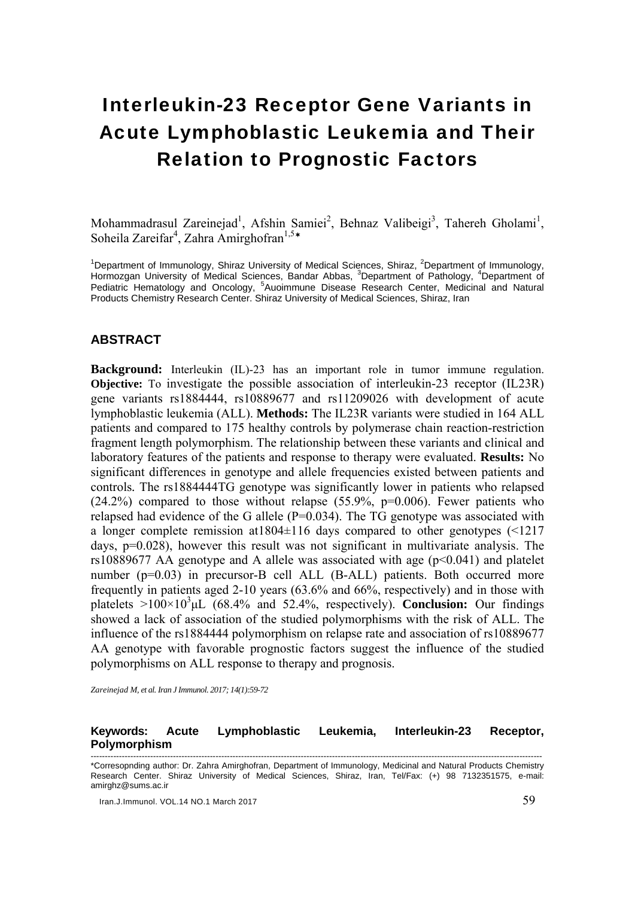# Interleukin-23 Receptor Gene Variants in Acute Lymphoblastic Leukemia and Their Relation to Prognostic Factors

Mohammadrasul Zareinejad<sup>1</sup>, Afshin Samiei<sup>2</sup>, Behnaz Valibeigi<sup>3</sup>, Tahereh Gholami<sup>1</sup>, Soheila Zareifar<sup>4</sup>, Zahra Amirghofran<sup>1,5\*</sup>

<sup>1</sup>Department of Immunology, Shiraz University of Medical Sciences, Shiraz, <sup>2</sup>Department of Immunology, Hormozgan University of Medical Sciences, Bandar Abbas, <sup>3</sup>Department of Pathology, <sup>4</sup>Department of Pediatric Hematology and Oncology, <sup>5</sup>Auoimmune Disease Research Center, Medicinal and Natural Products Chemistry Research Center. Shiraz University of Medical Sciences, Shiraz, Iran

#### **ABSTRACT**

**Background:** Interleukin (IL)-23 has an important role in tumor immune regulation. **Objective:** To investigate the possible association of interleukin-23 receptor (IL23R) gene variants rs1884444, rs10889677 and rs11209026 with development of acute lymphoblastic leukemia (ALL). **Methods:** The IL23R variants were studied in 164 ALL patients and compared to 175 healthy controls by polymerase chain reaction-restriction fragment length polymorphism. The relationship between these variants and clinical and laboratory features of the patients and response to therapy were evaluated. **Results:** No significant differences in genotype and allele frequencies existed between patients and controls*.* The rs1884444TG genotype was significantly lower in patients who relapsed  $(24.2%)$  compared to those without relapse  $(55.9\% , p=0.006)$ . Fewer patients who relapsed had evidence of the G allele  $(P=0.034)$ . The TG genotype was associated with a longer complete remission at1804±116 days compared to other genotypes (<1217 days, p=0.028), however this result was not significant in multivariate analysis. The rs10889677 AA genotype and A allele was associated with age  $(p< 0.041)$  and platelet number (p=0.03) in precursor-B cell ALL (B-ALL) patients. Both occurred more frequently in patients aged 2-10 years (63.6% and 66%, respectively) and in those with platelets >100×103 μL (68.4% and 52.4%, respectively). **Conclusion:** Our findings showed a lack of association of the studied polymorphisms with the risk of ALL. The influence of the rs1884444 polymorphism on relapse rate and association of rs10889677 AA genotype with favorable prognostic factors suggest the influence of the studied polymorphisms on ALL response to therapy and prognosis.

*Zareinejad M, et al. Iran J Immunol. 2017; 14(1):59-72* 

# **Keywords: Acute Lymphoblastic Leukemia, Interleukin-23 Receptor, Polymorphism**

Iran.J.Immunol. VOL.14 NO.1 March 2017 59

<sup>---------------------------------------------------------------------------------------------------------------------------------------------------------------</sup>  \*Corresopnding author: Dr. Zahra Amirghofran, Department of Immunology, Medicinal and Natural Products Chemistry Research Center. Shiraz University of Medical Sciences, Shiraz, Iran, Tel/Fax: (+) 98 7132351575, e-mail: amirghz@sums.ac.ir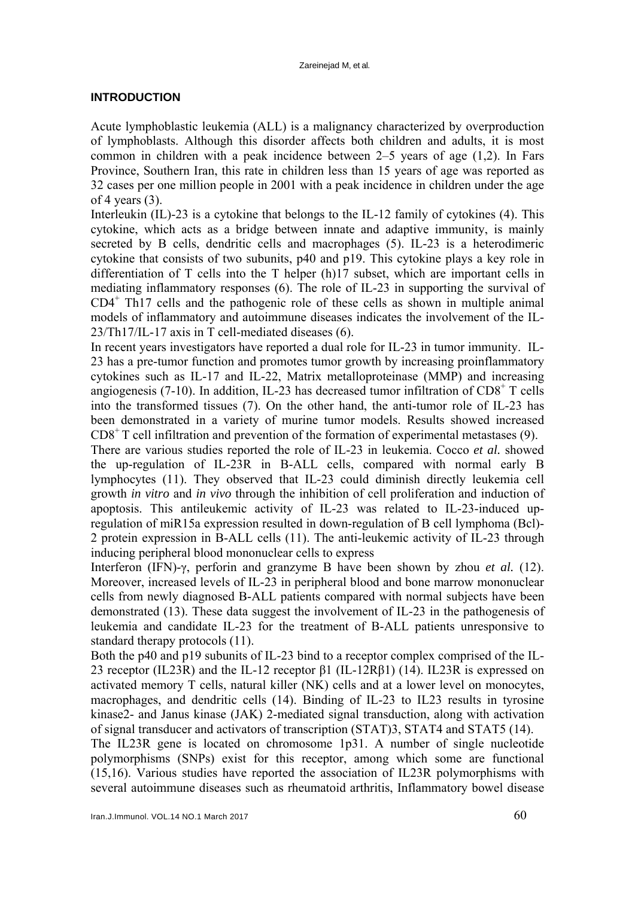# **INTRODUCTION**

Acute lymphoblastic leukemia (ALL) is a malignancy characterized by overproduction of lymphoblasts. Although this disorder affects both children and adults, it is most common in children with a peak incidence between 2–5 years of age (1,2). In Fars Province, Southern Iran, this rate in children less than 15 years of age was reported as 32 cases per one million people in 2001 with a peak incidence in children under the age of 4 years  $(3)$ .

Interleukin (IL)-23 is a cytokine that belongs to the IL-12 family of cytokines (4). This cytokine, which acts as a bridge between innate and adaptive immunity, is mainly secreted by B cells, dendritic cells and macrophages (5). IL-23 is a heterodimeric cytokine that consists of two subunits, p40 and p19. This cytokine plays a key role in differentiation of T cells into the T helper (h)17 subset, which are important cells in mediating inflammatory responses (6). The role of IL-23 in supporting the survival of CD4<sup>+</sup> Th17 cells and the pathogenic role of these cells as shown in multiple animal models of inflammatory and autoimmune diseases indicates the involvement of the IL-23/Th17/IL-17 axis in T cell-mediated diseases (6).

In recent years investigators have reported a dual role for IL-23 in tumor immunity. IL-23 has a pre-tumor function and promotes tumor growth by increasing proinflammatory cytokines such as IL-17 and IL-22, Matrix metalloproteinase (MMP) and increasing angiogenesis (7-10). In addition, IL-23 has decreased tumor infiltration of  $CD8<sup>+</sup>$  T cells into the transformed tissues (7). On the other hand, the anti-tumor role of IL-23 has been demonstrated in a variety of murine tumor models. Results showed increased  $CD8<sup>+</sup>$  T cell infiltration and prevention of the formation of experimental metastases (9).

There are various studies reported the role of IL-23 in leukemia. Cocco *et al.* showed the up-regulation of IL-23R in B-ALL cells, compared with normal early B lymphocytes (11). They observed that IL-23 could diminish directly leukemia cell growth *in vitro* and *in vivo* through the inhibition of cell proliferation and induction of apoptosis. This antileukemic activity of IL-23 was related to IL-23-induced upregulation of miR15a expression resulted in down-regulation of B cell lymphoma (Bcl)- 2 protein expression in B-ALL cells (11). The anti-leukemic activity of IL-23 through inducing peripheral blood mononuclear cells to express

Interferon (IFN)-γ, perforin and granzyme B have been shown by zhou *et al.* (12). Moreover, increased levels of IL-23 in peripheral blood and bone marrow mononuclear cells from newly diagnosed B-ALL patients compared with normal subjects have been demonstrated (13). These data suggest the involvement of IL-23 in the pathogenesis of leukemia and candidate IL-23 for the treatment of B-ALL patients unresponsive to standard therapy protocols (11).

Both the p40 and p19 subunits of IL-23 bind to a receptor complex comprised of the IL-23 receptor (IL23R) and the IL-12 receptor β1 (IL-12Rβ1) (14). IL23R is expressed on activated memory T cells, natural killer (NK) cells and at a lower level on monocytes, macrophages, and dendritic cells (14). Binding of IL-23 to IL23 results in tyrosine kinase2- and Janus kinase (JAK) 2-mediated signal transduction, along with activation of signal transducer and activators of transcription (STAT)3, STAT4 and STAT5 (14).

The IL23R gene is located on chromosome 1p31. A number of single nucleotide polymorphisms (SNPs) exist for this receptor, among which some are functional (15,16). Various studies have reported the association of IL23R polymorphisms with several autoimmune diseases such as rheumatoid arthritis, Inflammatory bowel disease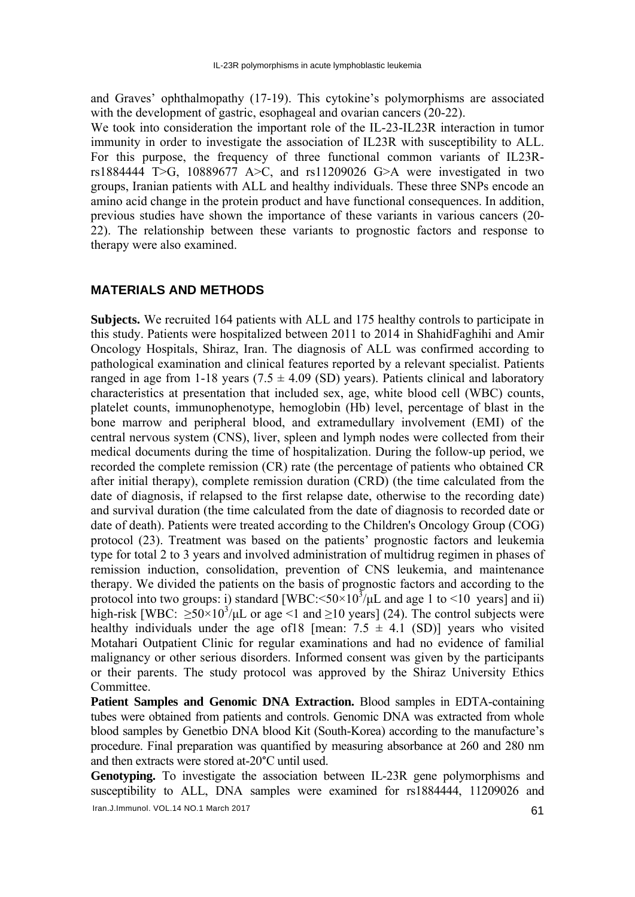and Graves' ophthalmopathy (17-19). This cytokine's polymorphisms are associated with the development of gastric, esophageal and ovarian cancers (20-22).

We took into consideration the important role of the IL-23-IL23R interaction in tumor immunity in order to investigate the association of IL23R with susceptibility to ALL. For this purpose, the frequency of three functional common variants of IL23Rrs1884444 T>G, 10889677 A>C, and rs11209026 G>A were investigated in two groups, Iranian patients with ALL and healthy individuals. These three SNPs encode an amino acid change in the protein product and have functional consequences. In addition, previous studies have shown the importance of these variants in various cancers (20- 22). The relationship between these variants to prognostic factors and response to therapy were also examined.

# **MATERIALS AND METHODS**

**Subjects.** We recruited 164 patients with ALL and 175 healthy controls to participate in this study. Patients were hospitalized between 2011 to 2014 in ShahidFaghihi and Amir Oncology Hospitals, Shiraz, Iran. The diagnosis of ALL was confirmed according to pathological examination and clinical features reported by a relevant specialist. Patients ranged in age from 1-18 years (7.5  $\pm$  4.09 (SD) years). Patients clinical and laboratory characteristics at presentation that included sex, age, white blood cell (WBC) counts, platelet counts, immunophenotype, hemoglobin (Hb) level, percentage of blast in the bone marrow and peripheral blood, and extramedullary involvement (EMI) of the central nervous system (CNS), liver, spleen and lymph nodes were collected from their medical documents during the time of hospitalization. During the follow-up period, we recorded the complete remission (CR) rate (the percentage of patients who obtained CR after initial therapy), complete remission duration (CRD) (the time calculated from the date of diagnosis, if relapsed to the first relapse date, otherwise to the recording date) and survival duration (the time calculated from the date of diagnosis to recorded date or date of death). Patients were treated according to the Children's Oncology Group (COG) protocol (23). Treatment was based on the patients' prognostic factors and leukemia type for total 2 to 3 years and involved administration of multidrug regimen in phases of remission induction, consolidation, prevention of CNS leukemia, and maintenance therapy. We divided the patients on the basis of prognostic factors and according to the protocol into two groups: i) standard [WBC:  $\leq 50 \times 10^3$ / $\mu$ L and age 1 to  $\leq 10$  years] and ii) high-risk [WBC:  $\geq 50 \times 10^3/\mu L$  or age <1 and  $\geq 10$  years] (24). The control subjects were healthy individuals under the age of 18 [mean:  $7.5 \pm 4.1$  (SD)] years who visited Motahari Outpatient Clinic for regular examinations and had no evidence of familial malignancy or other serious disorders. Informed consent was given by the participants or their parents. The study protocol was approved by the Shiraz University Ethics **Committee** 

**Patient Samples and Genomic DNA Extraction.** Blood samples in EDTA-containing tubes were obtained from patients and controls. Genomic DNA was extracted from whole blood samples by Genetbio DNA blood Kit (South-Korea) according to the manufacture's procedure. Final preparation was quantified by measuring absorbance at 260 and 280 nm and then extracts were stored at-20°C until used.

**Genotyping.** To investigate the association between IL-23R gene polymorphisms and susceptibility to ALL, DNA samples were examined for rs1884444, 11209026 and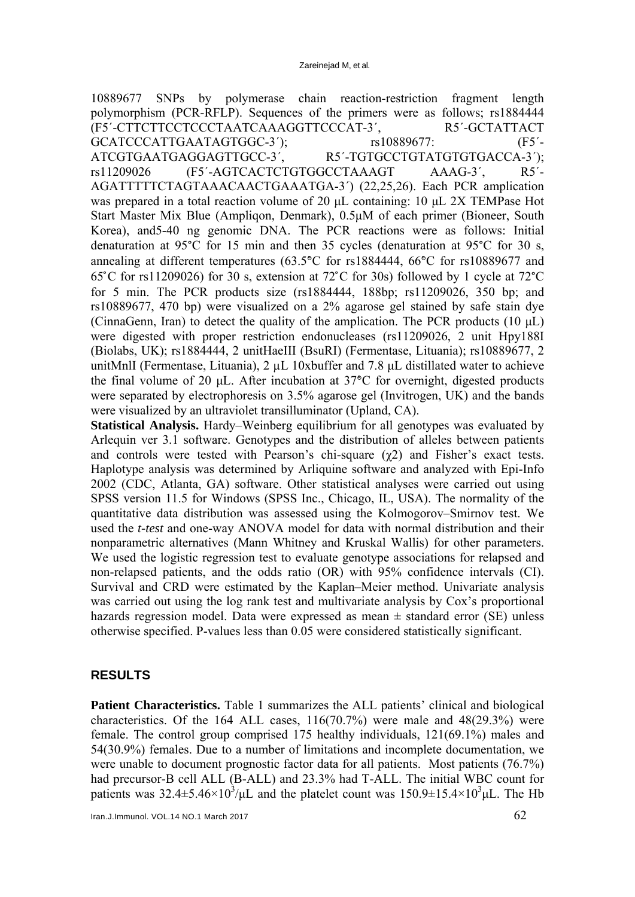10889677 SNPs by polymerase chain reaction-restriction fragment length polymorphism (PCR-RFLP). Sequences of the primers were as follows; rs1884444 (F5´-CTTCTTCCTCCCTAATCAAAGGTTCCCAT-3´, R5´-GCTATTACT GCATCCCATTGAATAGTGGC-3<sup>'</sup>); rs10889677: (F5<sup>'</sup>-ATCGTGAATGAGGAGTTGCC-3<sup>'</sup>, R5<sup>'</sup>-TGTGCCTGTATGTGTGACCA-3'); rs11209026 (F5'-AGTCACTCTGTGGCCTAAAGT AAAG-3', R5'-AGATTTTTCTAGTAAACAACTGAAATGA-3´) (22,25,26). Each PCR amplication was prepared in a total reaction volume of 20 μL containing: 10 μL 2X TEMPase Hot Start Master Mix Blue (Ampliqon, Denmark), 0.5μM of each primer (Bioneer, South Korea), and5-40 ng genomic DNA. The PCR reactions were as follows: Initial denaturation at 95°C for 15 min and then 35 cycles (denaturation at 95°C for 30 s, annealing at different temperatures (63.5°̊C for rs1884444, 66°̊C for rs10889677 and  $65^{\circ}$ C for rs11209026) for 30 s, extension at 72 $^{\circ}$ C for 30s) followed by 1 cycle at 72 $^{\circ}$ C for 5 min. The PCR products size (rs1884444, 188bp; rs11209026, 350 bp; and rs10889677, 470 bp) were visualized on a 2% agarose gel stained by safe stain dye (CinnaGenn, Iran) to detect the quality of the amplication. The PCR products (10 μL) were digested with proper restriction endonucleases (rs11209026, 2 unit Hpy188I (Biolabs, UK); rs1884444, 2 unitHaeIII (BsuRI) (Fermentase, Lituania); rs10889677, 2 unitMnlI (Fermentase, Lituania),  $2 \mu L$  10xbuffer and 7.8  $\mu L$  distillated water to achieve the final volume of 20 μL. After incubation at 37°̊C for overnight, digested products were separated by electrophoresis on 3.5% agarose gel (Invitrogen, UK) and the bands were visualized by an ultraviolet transilluminator (Upland, CA).

**Statistical Analysis.** Hardy–Weinberg equilibrium for all genotypes was evaluated by Arlequin ver 3.1 software. Genotypes and the distribution of alleles between patients and controls were tested with Pearson's chi-square  $(\chi^2)$  and Fisher's exact tests. Haplotype analysis was determined by Arliquine software and analyzed with Epi-Info 2002 (CDC, Atlanta, GA) software. Other statistical analyses were carried out using SPSS version 11.5 for Windows (SPSS Inc., Chicago, IL, USA). The normality of the quantitative data distribution was assessed using the Kolmogorov–Smirnov test. We used the *t-test* and one-way ANOVA model for data with normal distribution and their nonparametric alternatives (Mann Whitney and Kruskal Wallis) for other parameters. We used the logistic regression test to evaluate genotype associations for relapsed and non-relapsed patients, and the odds ratio (OR) with 95% confidence intervals (CI). Survival and CRD were estimated by the Kaplan–Meier method. Univariate analysis was carried out using the log rank test and multivariate analysis by Cox's proportional hazards regression model. Data were expressed as mean  $\pm$  standard error (SE) unless otherwise specified. P-values less than 0.05 were considered statistically significant.

# **RESULTS**

**Patient Characteristics.** Table 1 summarizes the ALL patients' clinical and biological characteristics. Of the 164 ALL cases,  $116(70.7%)$  were male and  $48(29.3%)$  were female. The control group comprised 175 healthy individuals, 121(69.1%) males and 54(30.9%) females. Due to a number of limitations and incomplete documentation, we were unable to document prognostic factor data for all patients. Most patients (76.7%) had precursor-B cell ALL (B-ALL) and 23.3% had T-ALL. The initial WBC count for patients was 32.4 $\pm$ 5.46 $\times$ 10<sup>3</sup>/μL and the platelet count was 150.9 $\pm$ 15.4 $\times$ 10<sup>3</sup>μL. The Hb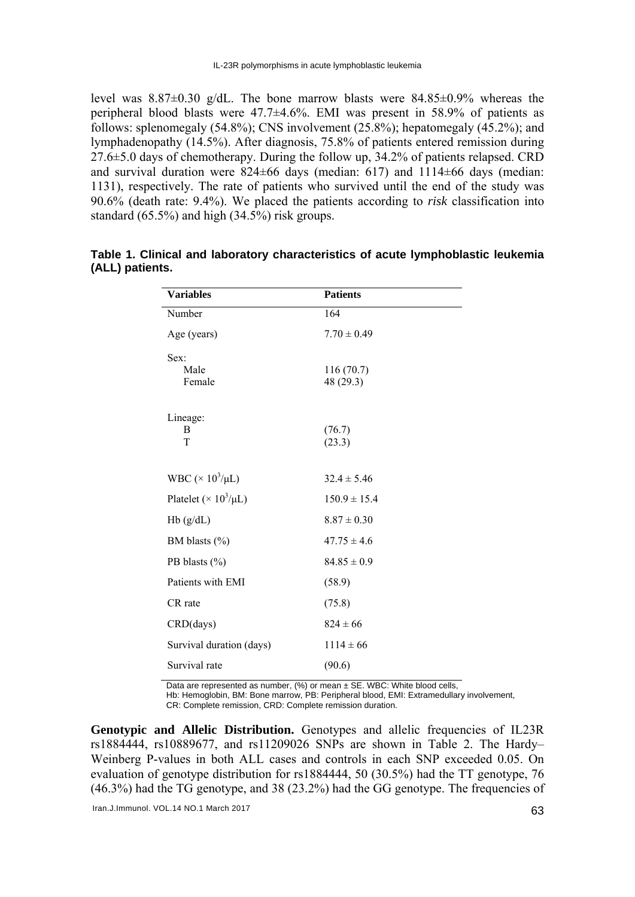level was 8.87±0.30 g/dL. The bone marrow blasts were 84.85±0.9% whereas the peripheral blood blasts were 47.7±4.6%. EMI was present in 58.9% of patients as follows: splenomegaly (54.8%); CNS involvement (25.8%); hepatomegaly (45.2%); and lymphadenopathy (14.5%). After diagnosis, 75.8% of patients entered remission during 27.6±5.0 days of chemotherapy. During the follow up, 34.2% of patients relapsed. CRD and survival duration were  $824\pm66$  days (median: 617) and 1114 $\pm66$  days (median: 1131), respectively. The rate of patients who survived until the end of the study was 90.6% (death rate: 9.4%). We placed the patients according to *risk* classification into standard (65.5%) and high (34.5%) risk groups.

| <b>Variables</b>                         | <b>Patients</b>        |
|------------------------------------------|------------------------|
| Number                                   | 164                    |
| Age (years)                              | $7.70 \pm 0.49$        |
| Sex:                                     |                        |
| Male<br>Female                           | 116(70.7)<br>48 (29.3) |
|                                          |                        |
| Lineage:                                 |                        |
| B<br>T                                   | (76.7)<br>(23.3)       |
|                                          |                        |
| WBC ( $\times$ 10 <sup>3</sup> /µL)      | $32.4 \pm 5.46$        |
| Platelet ( $\times$ 10 <sup>3</sup> /µL) | $150.9 \pm 15.4$       |
| Hb(g/dL)                                 | $8.87 \pm 0.30$        |
| BM blasts (%)                            | $47.75 \pm 4.6$        |
| PB blasts $(\% )$                        | $84.85 \pm 0.9$        |
| Patients with EMI                        | (58.9)                 |
| CR rate                                  | (75.8)                 |
| CRD(days)                                | $824 \pm 66$           |
| Survival duration (days)                 | $1114 \pm 66$          |
| Survival rate                            | (90.6)                 |

**Table 1. Clinical and laboratory characteristics of acute lymphoblastic leukemia (ALL) patients.** 

Data are represented as number, (%) or mean ± SE. WBC: White blood cells.

Hb: Hemoglobin, BM: Bone marrow, PB: Peripheral blood, EMI: Extramedullary involvement,

CR: Complete remission, CRD: Complete remission duration.

Genotypic and Allelic Distribution. Genotypes and allelic frequencies of IL23R rs1884444, rs10889677, and rs11209026 SNPs are shown in Table 2. The Hardy– Weinberg P-values in both ALL cases and controls in each SNP exceeded 0.05. On evaluation of genotype distribution for rs1884444, 50 (30.5%) had the TT genotype, 76 (46.3%) had the TG genotype, and 38 (23.2%) had the GG genotype. The frequencies of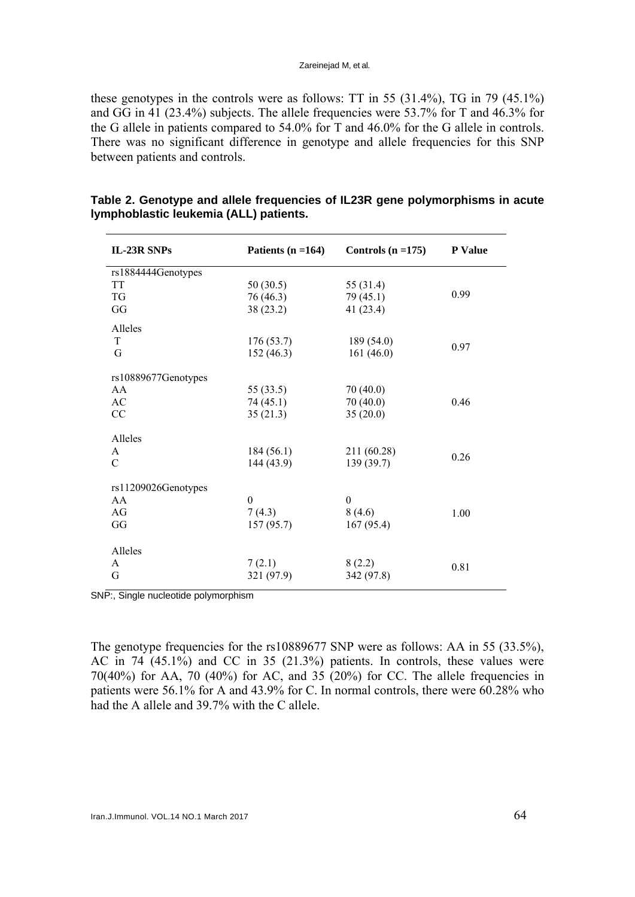these genotypes in the controls were as follows: TT in 55 (31.4%), TG in 79 (45.1%) and GG in 41 (23.4%) subjects. The allele frequencies were 53.7% for T and 46.3% for the G allele in patients compared to 54.0% for T and 46.0% for the G allele in controls. There was no significant difference in genotype and allele frequencies for this SNP between patients and controls.

| IL-23R SNPs                           | Patients $(n = 164)$                    | Controls $(n = 175)$                    | <b>P</b> Value |
|---------------------------------------|-----------------------------------------|-----------------------------------------|----------------|
| rs1884444Genotypes<br>TT<br>TG<br>GG  | 50(30.5)<br>76 (46.3)<br>38(23.2)       | 55 (31.4)<br>79(45.1)<br>41 $(23.4)$    | 0.99           |
| Alleles<br>T<br>G                     | 176(53.7)<br>152(46.3)                  | 189(54.0)<br>161(46.0)                  | 0.97           |
| rs10889677Genotypes<br>AA<br>AC<br>CC | 55 $(33.5)$<br>74 (45.1)<br>35(21.3)    | 70(40.0)<br>70(40.0)<br>35(20.0)        | 0.46           |
| Alleles<br>A<br>$\mathcal{C}$         | 184(56.1)<br>144(43.9)                  | 211 (60.28)<br>139 (39.7)               | 0.26           |
| rs11209026Genotypes<br>AA<br>AG<br>GG | $\boldsymbol{0}$<br>7(4.3)<br>157(95.7) | $\boldsymbol{0}$<br>8(4.6)<br>167(95.4) | 1.00           |
| Alleles<br>A<br>G                     | 7(2.1)<br>321 (97.9)                    | 8(2.2)<br>342 (97.8)                    | 0.81           |

# **Table 2. Genotype and allele frequencies of IL23R gene polymorphisms in acute lymphoblastic leukemia (ALL) patients.**

SNP:, Single nucleotide polymorphism

The genotype frequencies for the rs10889677 SNP were as follows: AA in 55 (33.5%), AC in 74 (45.1%) and CC in 35 (21.3%) patients. In controls, these values were 70(40%) for AA, 70 (40%) for AC, and 35 (20%) for CC. The allele frequencies in patients were 56.1% for A and 43.9% for C. In normal controls, there were 60.28% who had the A allele and 39.7% with the C allele.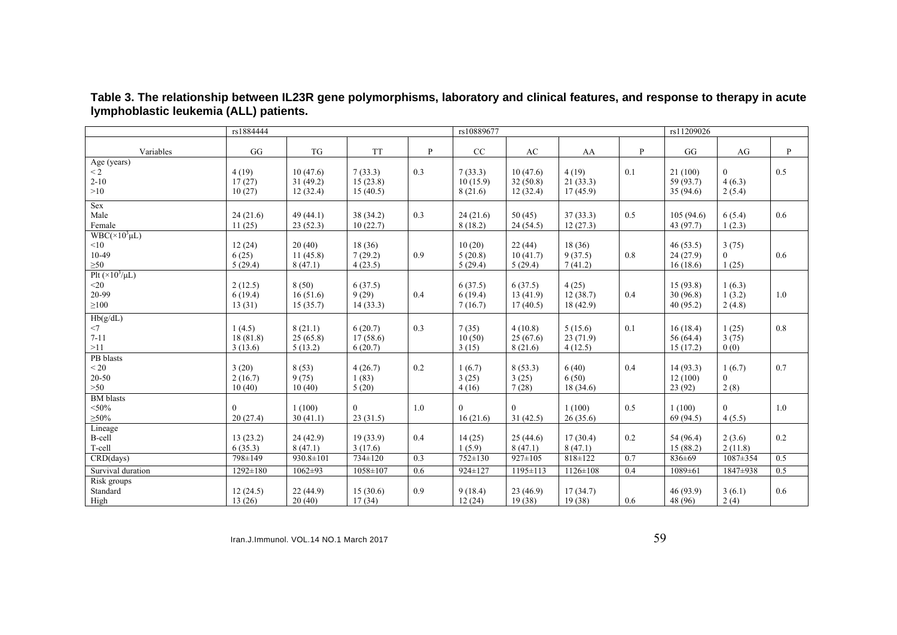|                                                          | rs1884444                     |                                  |                                 | rs10889677 |                                |                                  | rs11209026                     |     |                                   |                                  |     |
|----------------------------------------------------------|-------------------------------|----------------------------------|---------------------------------|------------|--------------------------------|----------------------------------|--------------------------------|-----|-----------------------------------|----------------------------------|-----|
| Variables                                                | GG                            | TG                               | <b>TT</b>                       | P          | CC                             | AC                               | AA                             | P   | GG                                | AG                               | P   |
| Age (years)<br>$\overline{2}$<br>$2 - 10$<br>>10         | 4(19)<br>17(27)<br>10(27)     | 10(47.6)<br>31(49.2)<br>12(32.4) | 7(33.3)<br>15(23.8)<br>15(40.5) | 0.3        | 7(33.3)<br>10(15.9)<br>8(21.6) | 10(47.6)<br>32(50.8)<br>12(32.4) | 4(19)<br>21(33.3)<br>17(45.9)  | 0.1 | 21(100)<br>59 (93.7)<br>35(94.6)  | $\mathbf{0}$<br>4(6.3)<br>2(5.4) | 0.5 |
| Sex<br>Male<br>Female                                    | 24(21.6)<br>11(25)            | 49 (44.1)<br>23(52.3)            | 38 (34.2)<br>10(22.7)           | 0.3        | 24(21.6)<br>8(18.2)            | 50(45)<br>24(54.5)               | 37(33.3)<br>12(27.3)           | 0.5 | 105(94.6)<br>43 (97.7)            | 6(5.4)<br>1(2.3)                 | 0.6 |
| $WBC(\times 10^3 \mu L)$<br>< 10<br>10-49<br>$\geq 50$   | 12(24)<br>6(25)<br>5(29.4)    | 20(40)<br>11(45.8)<br>8(47.1)    | 18 (36)<br>7(29.2)<br>4(23.5)   | 0.9        | 10(20)<br>5(20.8)<br>5(29.4)   | 22(44)<br>10(41.7)<br>5(29.4)    | 18(36)<br>9(37.5)<br>7(41.2)   | 0.8 | 46(53.5)<br>24(27.9)<br>16(18.6)  | 3(75)<br>$\overline{0}$<br>1(25) | 0.6 |
| Plt $(\times 10^3/\mu L)$<br>$20$<br>20-99<br>$\geq 100$ | 2(12.5)<br>6(19.4)<br>13(31)  | 8(50)<br>16(51.6)<br>15(35.7)    | 6(37.5)<br>9(29)<br>14(33.3)    | 0.4        | 6(37.5)<br>6(19.4)<br>7(16.7)  | 6(37.5)<br>13(41.9)<br>17(40.5)  | 4(25)<br>12(38.7)<br>18(42.9)  | 0.4 | 15(93.8)<br>30(96.8)<br>40 (95.2) | 1(6.3)<br>1(3.2)<br>2(4.8)       | 1.0 |
| Hb(g/dL)<br>$<$ 7<br>$7 - 11$<br>>11                     | 1(4.5)<br>18(81.8)<br>3(13.6) | 8(21.1)<br>25(65.8)<br>5(13.2)   | 6(20.7)<br>17(58.6)<br>6(20.7)  | 0.3        | 7(35)<br>10(50)<br>3(15)       | 4(10.8)<br>25(67.6)<br>8(21.6)   | 5(15.6)<br>23(71.9)<br>4(12.5) | 0.1 | 16(18.4)<br>56 (64.4)<br>15(17.2) | 1(25)<br>3(75)<br>0(0)           | 0.8 |
| PB blasts<br>< 20<br>$20 - 50$<br>$>50$                  | 3(20)<br>2(16.7)<br>10(40)    | 8(53)<br>9(75)<br>10(40)         | 4(26.7)<br>1(83)<br>5(20)       | 0.2        | 1(6.7)<br>3(25)<br>4(16)       | 8(53.3)<br>3(25)<br>7(28)        | 6(40)<br>6(50)<br>18(34.6)     | 0.4 | 14(93.3)<br>12(100)<br>23(92)     | 1(6.7)<br>$\theta$<br>2(8)       | 0.7 |
| <b>BM</b> blasts<br>$<$ 50%<br>$\geq 50\%$               | $\Omega$<br>20(27.4)          | 1(100)<br>30(41.1)               | $\theta$<br>23(31.5)            | 1.0        | $\Omega$<br>16(21.6)           | $\theta$<br>31(42.5)             | 1(100)<br>26(35.6)             | 0.5 | 1(100)<br>69 (94.5)               | $\theta$<br>4(5.5)               | 1.0 |
| Lineage<br>B-cell<br>T-cell                              | 13(23.2)<br>6(35.3)           | 24(42.9)<br>8(47.1)              | 19(33.9)<br>3(17.6)             | 0.4        | 14(25)<br>1(5.9)               | 25(44.6)<br>8(47.1)              | 17(30.4)<br>8(47.1)            | 0.2 | 54 (96.4)<br>15(88.2)             | 2(3.6)<br>2(11.8)                | 0.2 |
| CRD(days)                                                | 798±149                       | $930.8 \pm 101$                  | $734 \pm 120$                   | 0.3        | $752 \pm 130$                  | $927 \pm 105$                    | $818 \pm 122$                  | 0.7 | 836±69                            | $1087 \pm 354$                   | 0.5 |
| Survival duration                                        | $1292 \pm 180$                | $1062 \pm 93$                    | 1058±107                        | 0.6        | 924±127                        | 1195±113                         | $1126 \pm 108$                 | 0.4 | $1089 \pm 61$                     | 1847±938                         | 0.5 |
| Risk groups<br>Standard<br>High                          | 12(24.5)<br>13(26)            | 22(44.9)<br>20(40)               | 15(30.6)<br>17(34)              | 0.9        | 9(18.4)<br>12(24)              | 23(46.9)<br>19(38)               | 17(34.7)<br>19(38)             | 0.6 | 46(93.9)<br>48 (96)               | 3(6.1)<br>2(4)                   | 0.6 |

**Table 3. The relationship between IL23R gene polymorphisms, laboratory and clinical features, and response to therapy in acute lymphoblastic leukemia (ALL) patients.** 

Iran.J.Immunol. VOL.14 NO.1 March 2017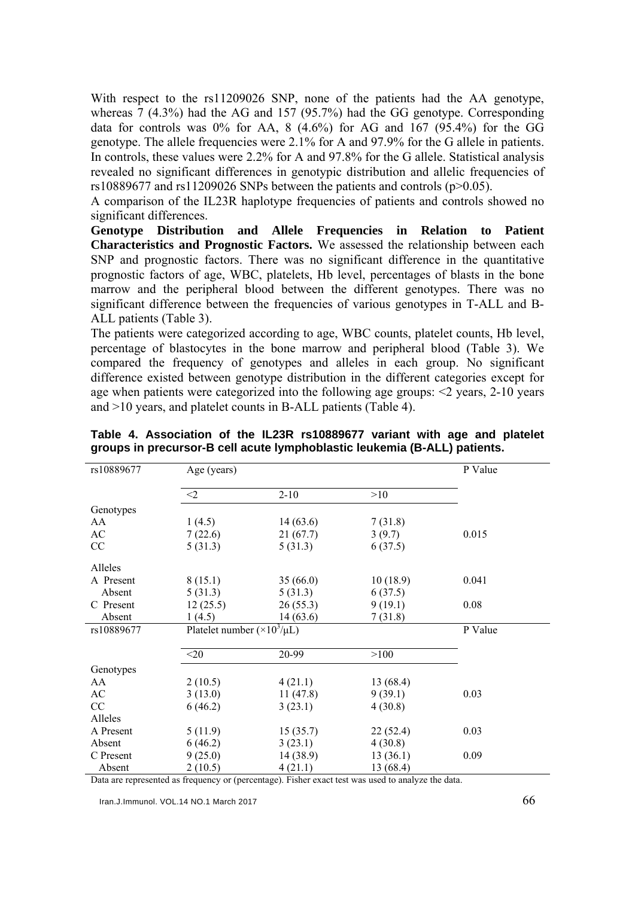With respect to the rs11209026 SNP, none of the patients had the AA genotype, whereas 7 (4.3%) had the AG and 157 (95.7%) had the GG genotype. Corresponding data for controls was  $0\%$  for AA, 8  $(4.6\%)$  for AG and 167  $(95.4\%)$  for the GG genotype. The allele frequencies were 2.1% for A and 97.9% for the G allele in patients. In controls, these values were 2.2% for A and 97.8% for the G allele. Statistical analysis revealed no significant differences in genotypic distribution and allelic frequencies of rs10889677 and rs11209026 SNPs between the patients and controls  $(p>0.05)$ .

A comparison of the IL23R haplotype frequencies of patients and controls showed no significant differences.

**Genotype Distribution and Allele Frequencies in Relation to Patient Characteristics and Prognostic Factors.** We assessed the relationship between each SNP and prognostic factors. There was no significant difference in the quantitative prognostic factors of age, WBC, platelets, Hb level, percentages of blasts in the bone marrow and the peripheral blood between the different genotypes. There was no significant difference between the frequencies of various genotypes in T-ALL and B-ALL patients (Table 3).

The patients were categorized according to age, WBC counts, platelet counts, Hb level, percentage of blastocytes in the bone marrow and peripheral blood (Table 3). We compared the frequency of genotypes and alleles in each group. No significant difference existed between genotype distribution in the different categories except for age when patients were categorized into the following age groups: <2 years, 2-10 years and >10 years, and platelet counts in B-ALL patients (Table 4).

| rs10889677 | Age (years) | P Value                               |           |       |  |  |
|------------|-------------|---------------------------------------|-----------|-------|--|--|
|            | $\leq$ 2    | $2 - 10$                              | >10       |       |  |  |
| Genotypes  |             |                                       |           |       |  |  |
| AA         | 1(4.5)      | 14(63.6)                              | 7(31.8)   |       |  |  |
| AC         | 7(22.6)     | 21(67.7)                              | 3(9.7)    | 0.015 |  |  |
| CC         | 5(31.3)     | 5(31.3)                               | 6(37.5)   |       |  |  |
| Alleles    |             |                                       |           |       |  |  |
| A Present  | 8(15.1)     | 35(66.0)                              | 10(18.9)  | 0.041 |  |  |
| Absent     | 5(31.3)     | 5(31.3)                               | 6(37.5)   |       |  |  |
| C Present  | 12(25.5)    | 26(55.3)                              | 9(19.1)   | 0.08  |  |  |
| Absent     | 1(4.5)      | 14(63.6)                              | 7(31.8)   |       |  |  |
| rs10889677 |             | Platelet number $(\times 10^3/\mu L)$ |           |       |  |  |
|            |             |                                       |           |       |  |  |
|            | $<$ 20      | 20-99                                 | >100      |       |  |  |
| Genotypes  |             |                                       |           |       |  |  |
| AA         | 2(10.5)     | 4(21.1)                               | 13 (68.4) |       |  |  |
| AC         | 3(13.0)     | 11(47.8)                              | 9(39.1)   | 0.03  |  |  |
| CC         | 6(46.2)     | 3(23.1)                               | 4(30.8)   |       |  |  |
| Alleles    |             |                                       |           |       |  |  |
| A Present  | 5(11.9)     | 15(35.7)                              | 22(52.4)  | 0.03  |  |  |
| Absent     | 6(46.2)     | 3(23.1)                               | 4(30.8)   |       |  |  |
| C Present  | 9(25.0)     | 14(38.9)                              | 13(36.1)  | 0.09  |  |  |
| Absent     | 2(10.5)     | 4(21.1)                               | 13 (68.4) |       |  |  |

**Table 4. Association of the IL23R rs10889677 variant with age and platelet groups in precursor-B cell acute lymphoblastic leukemia (B-ALL) patients.** 

Data are represented as frequency or (percentage). Fisher exact test was used to analyze the data.

Iran.J.Immunol. VOL.14 NO.1 March 2017  $\sim$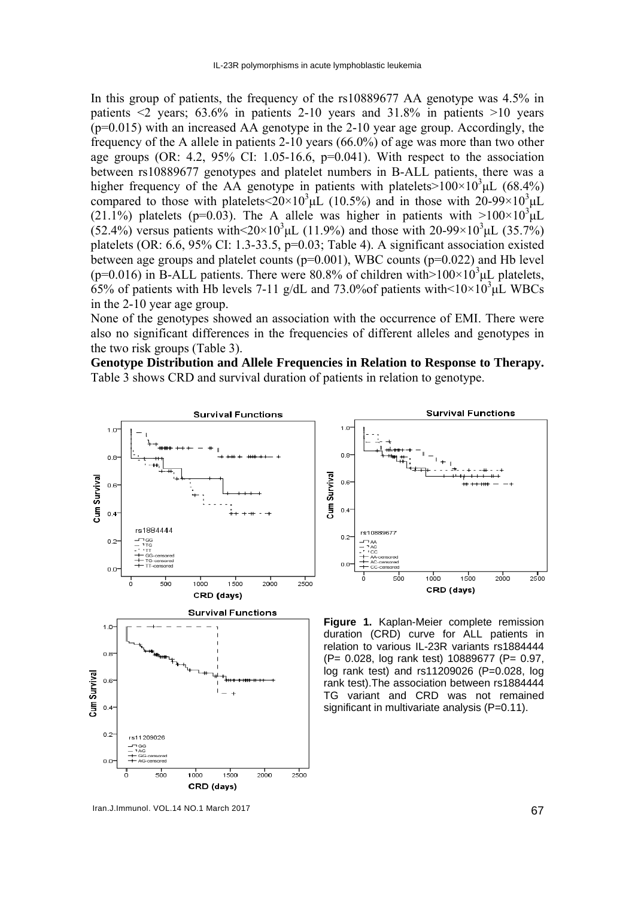In this group of patients, the frequency of the rs10889677 AA genotype was 4.5% in patients  $\leq 2$  years; 63.6% in patients 2-10 years and 31.8% in patients  $>10$  years (p=0.015) with an increased AA genotype in the 2-10 year age group. Accordingly, the frequency of the A allele in patients 2-10 years (66.0%) of age was more than two other age groups (OR: 4.2,  $95\%$  CI: 1.05-16.6,  $p=0.041$ ). With respect to the association between rs10889677 genotypes and platelet numbers in B-ALL patients, there was a higher frequency of the AA genotype in patients with platelets  $>100\times10^3$ µL (68.4%) compared to those with platelets<20×10<sup>3</sup>µL (10.5%) and in those with 20-99×10<sup>3</sup>µL (21.1%) platelets (p=0.03). The A allele was higher in patients with  $>100\times10^{3}$   $\mu$ L  $(52.4\%)$  versus patients with  $\leq 20 \times 10^3 \mu L$  (11.9%) and those with 20-99×10<sup>3</sup> $\mu L$  (35.7%) platelets (OR: 6.6, 95% CI: 1.3-33.5, p=0.03; Table 4). A significant association existed between age groups and platelet counts  $(p=0.001)$ , WBC counts  $(p=0.022)$  and Hb level (p=0.016) in B-ALL patients. There were 80.8% of children with  $>100\times10^3$ µL platelets,  $65\%$  of patients with Hb levels 7-11 g/dL and 73.0% of patients with <10×10<sup>3</sup> $\mu$ L WBCs in the 2-10 year age group.

None of the genotypes showed an association with the occurrence of EMI. There were also no significant differences in the frequencies of different alleles and genotypes in the two risk groups (Table 3).

**Genotype Distribution and Allele Frequencies in Relation to Response to Therapy.**  Table 3 shows CRD and survival duration of patients in relation to genotype.



Iran.J.Immunol. VOL.14 NO.1 March 2017 **67** 



**Figure 1.** Kaplan-Meier complete remission duration (CRD) curve for ALL patients in relation to various IL-23R variants rs1884444 (P= 0.028, log rank test) 10889677 (P= 0.97, log rank test) and rs11209026 (P=0.028, log rank test).The association between rs1884444 TG variant and CRD was not remained significant in multivariate analysis (P=0.11).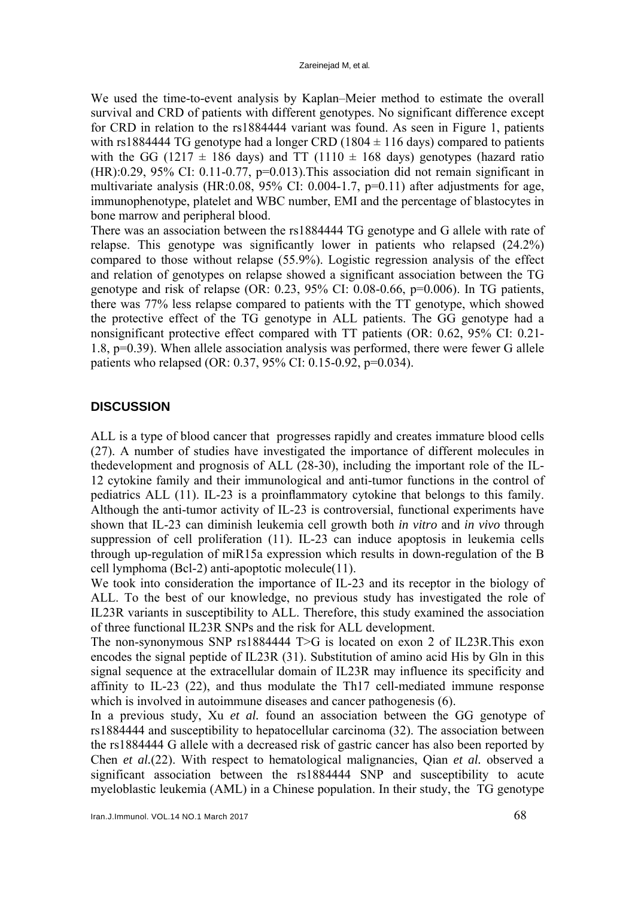We used the time-to-event analysis by Kaplan–Meier method to estimate the overall survival and CRD of patients with different genotypes. No significant difference except for CRD in relation to the rs1884444 variant was found. As seen in Figure 1, patients with rs1884444 TG genotype had a longer CRD (1804  $\pm$  116 days) compared to patients with the GG (1217  $\pm$  186 days) and TT (1110  $\pm$  168 days) genotypes (hazard ratio  $(HR)$ :0.29, 95% CI: 0.11-0.77, p=0.013). This association did not remain significant in multivariate analysis (HR:0.08, 95% CI: 0.004-1.7, p=0.11) after adjustments for age, immunophenotype, platelet and WBC number, EMI and the percentage of blastocytes in bone marrow and peripheral blood.

There was an association between the rs1884444 TG genotype and G allele with rate of relapse. This genotype was significantly lower in patients who relapsed (24.2%) compared to those without relapse (55.9%). Logistic regression analysis of the effect and relation of genotypes on relapse showed a significant association between the TG genotype and risk of relapse  $(OR: 0.23, 95\% \text{ CI}: 0.08-0.66, p=0.006)$ . In TG patients, there was 77% less relapse compared to patients with the TT genotype, which showed the protective effect of the TG genotype in ALL patients. The GG genotype had a nonsignificant protective effect compared with TT patients (OR: 0.62, 95% CI: 0.21- 1.8, p=0.39). When allele association analysis was performed, there were fewer G allele patients who relapsed (OR: 0.37, 95% CI: 0.15-0.92, p=0.034).

### **DISCUSSION**

ALL is a type of blood cancer that progresses rapidly and creates immature blood cells (27). A number of studies have investigated the importance of different molecules in thedevelopment and prognosis of ALL (28-30), including the important role of the IL-12 cytokine family and their immunological and anti-tumor functions in the control of pediatrics ALL (11). IL-23 is a proinflammatory cytokine that belongs to this family. Although the anti-tumor activity of IL-23 is controversial, functional experiments have shown that IL-23 can diminish leukemia cell growth both *in vitro* and *in vivo* through suppression of cell proliferation (11). IL-23 can induce apoptosis in leukemia cells through up-regulation of miR15a expression which results in down-regulation of the B cell lymphoma (Bcl-2) anti-apoptotic molecule(11).

We took into consideration the importance of IL-23 and its receptor in the biology of ALL. To the best of our knowledge, no previous study has investigated the role of IL23R variants in susceptibility to ALL. Therefore, this study examined the association of three functional IL23R SNPs and the risk for ALL development.

The non-synonymous SNP rs1884444 T>G is located on exon 2 of IL23R.This exon encodes the signal peptide of IL23R (31). Substitution of amino acid His by Gln in this signal sequence at the extracellular domain of IL23R may influence its specificity and affinity to IL-23 (22), and thus modulate the Th17 cell-mediated immune response which is involved in autoimmune diseases and cancer pathogenesis  $(6)$ .

In a previous study, Xu *et al.* found an association between the GG genotype of rs1884444 and susceptibility to hepatocellular carcinoma (32). The association between the rs1884444 G allele with a decreased risk of gastric cancer has also been reported by Chen *et al.*(22). With respect to hematological malignancies, Qian *et al.* observed a significant association between the rs1884444 SNP and susceptibility to acute myeloblastic leukemia (AML) in a Chinese population. In their study, the TG genotype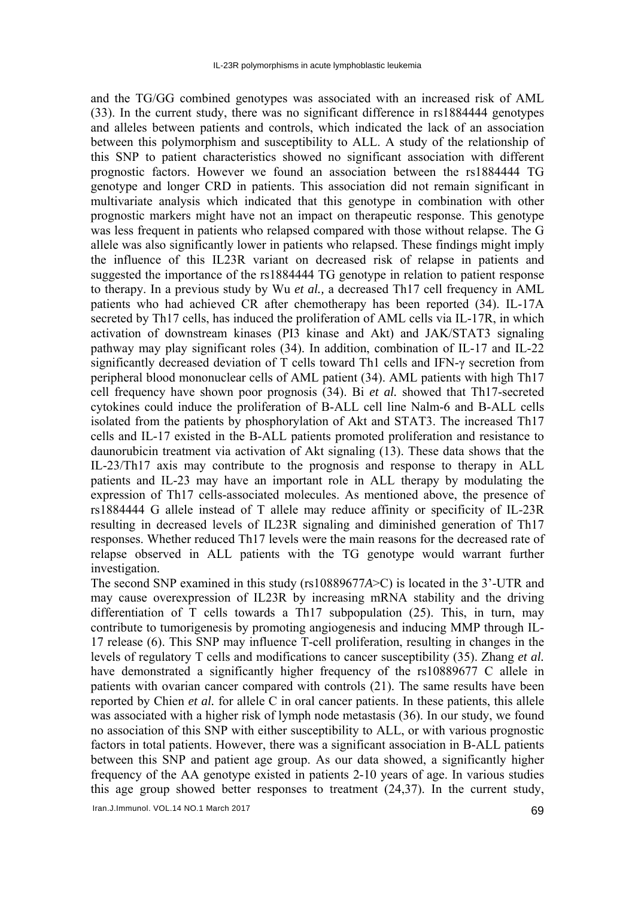and the TG/GG combined genotypes was associated with an increased risk of AML (33). In the current study, there was no significant difference in rs1884444 genotypes and alleles between patients and controls, which indicated the lack of an association between this polymorphism and susceptibility to ALL. A study of the relationship of this SNP to patient characteristics showed no significant association with different prognostic factors. However we found an association between the rs1884444 TG genotype and longer CRD in patients. This association did not remain significant in multivariate analysis which indicated that this genotype in combination with other prognostic markers might have not an impact on therapeutic response. This genotype was less frequent in patients who relapsed compared with those without relapse. The G allele was also significantly lower in patients who relapsed. These findings might imply the influence of this IL23R variant on decreased risk of relapse in patients and suggested the importance of the rs1884444 TG genotype in relation to patient response to therapy. In a previous study by Wu *et al.,* a decreased Th17 cell frequency in AML patients who had achieved CR after chemotherapy has been reported (34). IL-17A secreted by Th17 cells, has induced the proliferation of AML cells via IL-17R, in which activation of downstream kinases (PI3 kinase and Akt) and JAK/STAT3 signaling pathway may play significant roles (34). In addition, combination of IL-17 and IL-22 significantly decreased deviation of T cells toward Th1 cells and IFN-γ secretion from peripheral blood mononuclear cells of AML patient (34). AML patients with high Th17 cell frequency have shown poor prognosis (34). Bi *et al.* showed that Th17-secreted cytokines could induce the proliferation of B-ALL cell line Nalm-6 and B-ALL cells isolated from the patients by phosphorylation of Akt and STAT3. The increased Th17 cells and IL-17 existed in the B-ALL patients promoted proliferation and resistance to daunorubicin treatment via activation of Akt signaling (13). These data shows that the IL-23/Th17 axis may contribute to the prognosis and response to therapy in ALL patients and IL-23 may have an important role in ALL therapy by modulating the expression of Th17 cells-associated molecules. As mentioned above, the presence of rs1884444 G allele instead of T allele may reduce affinity or specificity of IL-23R resulting in decreased levels of IL23R signaling and diminished generation of Th17 responses. Whether reduced Th17 levels were the main reasons for the decreased rate of relapse observed in ALL patients with the TG genotype would warrant further investigation.

The second SNP examined in this study (rs10889677*A*>C) is located in the 3'-UTR and may cause overexpression of IL23R by increasing mRNA stability and the driving differentiation of T cells towards a Th17 subpopulation  $(25)$ . This, in turn, may contribute to tumorigenesis by promoting angiogenesis and inducing MMP through IL-17 release (6). This SNP may influence T-cell proliferation, resulting in changes in the levels of regulatory T cells and modifications to cancer susceptibility (35). Zhang *et al.* have demonstrated a significantly higher frequency of the rs10889677 C allele in patients with ovarian cancer compared with controls (21). The same results have been reported by Chien *et al.* for allele C in oral cancer patients. In these patients, this allele was associated with a higher risk of lymph node metastasis (36). In our study, we found no association of this SNP with either susceptibility to ALL, or with various prognostic factors in total patients. However, there was a significant association in B-ALL patients between this SNP and patient age group. As our data showed, a significantly higher frequency of the AA genotype existed in patients 2-10 years of age. In various studies this age group showed better responses to treatment (24,37). In the current study,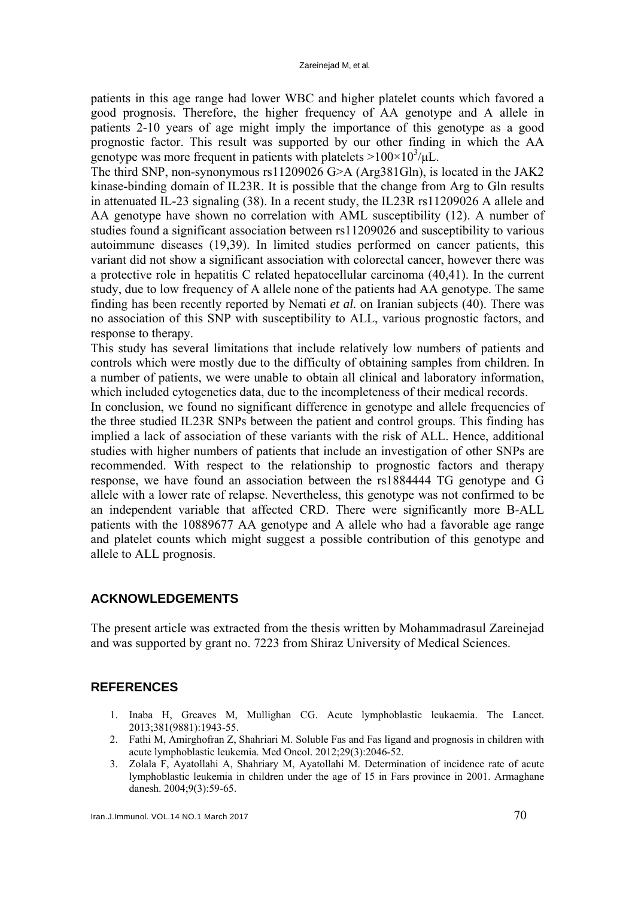patients in this age range had lower WBC and higher platelet counts which favored a good prognosis. Therefore, the higher frequency of AA genotype and A allele in patients 2-10 years of age might imply the importance of this genotype as a good prognostic factor. This result was supported by our other finding in which the AA genotype was more frequent in patients with platelets  $>100\times10^{3}/\mu L$ .

The third SNP, non-synonymous rs11209026 G>A (Arg381Gln), is located in the JAK2 kinase-binding domain of IL23R. It is possible that the change from Arg to Gln results in attenuated IL*-*23 signaling (38). In a recent study, the IL23R rs11209026 A allele and AA genotype have shown no correlation with AML susceptibility (12). A number of studies found a significant association between rs11209026 and susceptibility to various autoimmune diseases (19,39). In limited studies performed on cancer patients, this variant did not show a significant association with colorectal cancer, however there was a protective role in hepatitis C related hepatocellular carcinoma (40,41). In the current study, due to low frequency of A allele none of the patients had AA genotype. The same finding has been recently reported by Nemati *et al.* on Iranian subjects (40). There was no association of this SNP with susceptibility to ALL, various prognostic factors, and response to therapy.

This study has several limitations that include relatively low numbers of patients and controls which were mostly due to the difficulty of obtaining samples from children. In a number of patients, we were unable to obtain all clinical and laboratory information, which included cytogenetics data, due to the incompleteness of their medical records.

In conclusion, we found no significant difference in genotype and allele frequencies of the three studied IL23R SNPs between the patient and control groups. This finding has implied a lack of association of these variants with the risk of ALL. Hence, additional studies with higher numbers of patients that include an investigation of other SNPs are recommended. With respect to the relationship to prognostic factors and therapy response, we have found an association between the rs1884444 TG genotype and G allele with a lower rate of relapse. Nevertheless, this genotype was not confirmed to be an independent variable that affected CRD. There were significantly more B-ALL patients with the 10889677 AA genotype and A allele who had a favorable age range and platelet counts which might suggest a possible contribution of this genotype and allele to ALL prognosis.

# **ACKNOWLEDGEMENTS**

The present article was extracted from the thesis written by Mohammadrasul Zareinejad and was supported by grant no. 7223 from Shiraz University of Medical Sciences.

# **REFERENCES**

- 1. Inaba H, Greaves M, Mullighan CG. Acute lymphoblastic leukaemia. The Lancet. 2013;381(9881):1943-55.
- 2. Fathi M, Amirghofran Z, Shahriari M. Soluble Fas and Fas ligand and prognosis in children with acute lymphoblastic leukemia. Med Oncol. 2012;29(3):2046-52.
- 3. Zolala F, Ayatollahi A, Shahriary M, Ayatollahi M. Determination of incidence rate of acute lymphoblastic leukemia in children under the age of 15 in Fars province in 2001. Armaghane danesh. 2004;9(3):59-65.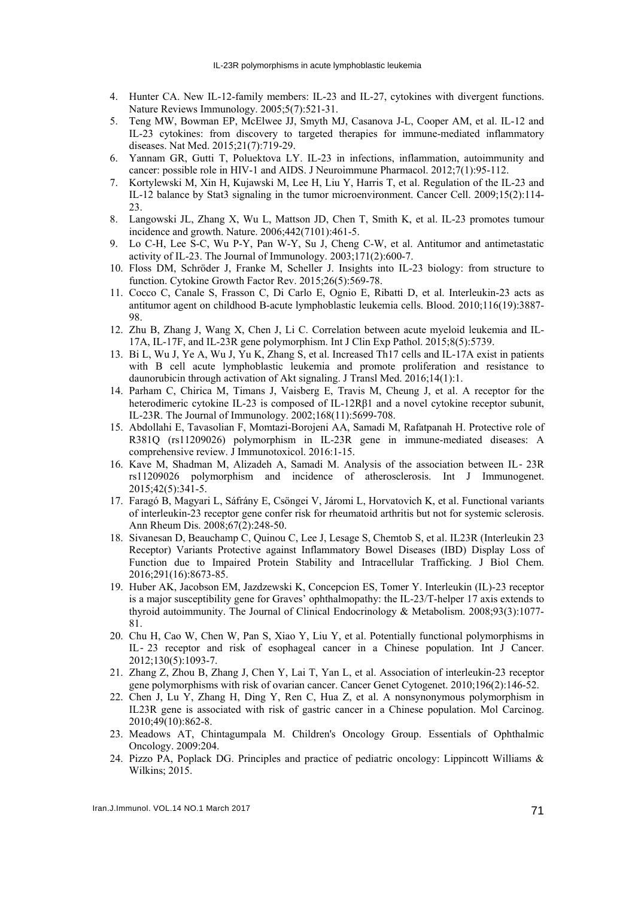- 4. Hunter CA. New IL-12-family members: IL-23 and IL-27, cytokines with divergent functions. Nature Reviews Immunology. 2005;5(7):521-31.
- 5. Teng MW, Bowman EP, McElwee JJ, Smyth MJ, Casanova J-L, Cooper AM, et al. IL-12 and IL-23 cytokines: from discovery to targeted therapies for immune-mediated inflammatory diseases. Nat Med. 2015;21(7):719-29.
- 6. Yannam GR, Gutti T, Poluektova LY. IL-23 in infections, inflammation, autoimmunity and cancer: possible role in HIV-1 and AIDS. J Neuroimmune Pharmacol. 2012;7(1):95-112.
- 7. Kortylewski M, Xin H, Kujawski M, Lee H, Liu Y, Harris T, et al. Regulation of the IL-23 and IL-12 balance by Stat3 signaling in the tumor microenvironment. Cancer Cell. 2009;15(2):114- 23.
- 8. Langowski JL, Zhang X, Wu L, Mattson JD, Chen T, Smith K, et al. IL-23 promotes tumour incidence and growth. Nature. 2006;442(7101):461-5.
- 9. Lo C-H, Lee S-C, Wu P-Y, Pan W-Y, Su J, Cheng C-W, et al. Antitumor and antimetastatic activity of IL-23. The Journal of Immunology. 2003;171(2):600-7.
- 10. Floss DM, Schröder J, Franke M, Scheller J. Insights into IL-23 biology: from structure to function. Cytokine Growth Factor Rev. 2015;26(5):569-78.
- 11. Cocco C, Canale S, Frasson C, Di Carlo E, Ognio E, Ribatti D, et al. Interleukin-23 acts as antitumor agent on childhood B-acute lymphoblastic leukemia cells. Blood. 2010;116(19):3887- 98.
- 12. Zhu B, Zhang J, Wang X, Chen J, Li C. Correlation between acute myeloid leukemia and IL-17A, IL-17F, and IL-23R gene polymorphism. Int J Clin Exp Pathol. 2015;8(5):5739.
- 13. Bi L, Wu J, Ye A, Wu J, Yu K, Zhang S, et al. Increased Th17 cells and IL-17A exist in patients with B cell acute lymphoblastic leukemia and promote proliferation and resistance to daunorubicin through activation of Akt signaling. J Transl Med. 2016;14(1):1.
- 14. Parham C, Chirica M, Timans J, Vaisberg E, Travis M, Cheung J, et al. A receptor for the heterodimeric cytokine IL-23 is composed of IL-12Rβ1 and a novel cytokine receptor subunit, IL-23R. The Journal of Immunology. 2002;168(11):5699-708.
- 15. Abdollahi E, Tavasolian F, Momtazi-Borojeni AA, Samadi M, Rafatpanah H. Protective role of R381Q (rs11209026) polymorphism in IL-23R gene in immune-mediated diseases: A comprehensive review. J Immunotoxicol. 2016:1-15.
- 16. Kave M, Shadman M, Alizadeh A, Samadi M. Analysis of the association between IL‐ 23R rs11209026 polymorphism and incidence of atherosclerosis. Int J Immunogenet. 2015;42(5):341-5.
- 17. Faragó B, Magyari L, Sáfrány E, Csöngei V, Járomi L, Horvatovich K, et al. Functional variants of interleukin-23 receptor gene confer risk for rheumatoid arthritis but not for systemic sclerosis. Ann Rheum Dis. 2008;67(2):248-50.
- 18. Sivanesan D, Beauchamp C, Quinou C, Lee J, Lesage S, Chemtob S, et al. IL23R (Interleukin 23 Receptor) Variants Protective against Inflammatory Bowel Diseases (IBD) Display Loss of Function due to Impaired Protein Stability and Intracellular Trafficking. J Biol Chem. 2016;291(16):8673-85.
- 19. Huber AK, Jacobson EM, Jazdzewski K, Concepcion ES, Tomer Y. Interleukin (IL)-23 receptor is a major susceptibility gene for Graves' ophthalmopathy: the IL-23/T-helper 17 axis extends to thyroid autoimmunity. The Journal of Clinical Endocrinology & Metabolism. 2008;93(3):1077- 81.
- 20. Chu H, Cao W, Chen W, Pan S, Xiao Y, Liu Y, et al. Potentially functional polymorphisms in IL‐ 23 receptor and risk of esophageal cancer in a Chinese population. Int J Cancer. 2012;130(5):1093-7.
- 21. Zhang Z, Zhou B, Zhang J, Chen Y, Lai T, Yan L, et al. Association of interleukin-23 receptor gene polymorphisms with risk of ovarian cancer. Cancer Genet Cytogenet. 2010;196(2):146-52.
- 22. Chen J, Lu Y, Zhang H, Ding Y, Ren C, Hua Z, et al. A nonsynonymous polymorphism in IL23R gene is associated with risk of gastric cancer in a Chinese population. Mol Carcinog. 2010;49(10):862-8.
- 23. Meadows AT, Chintagumpala M. Children's Oncology Group. Essentials of Ophthalmic Oncology. 2009:204.
- 24. Pizzo PA, Poplack DG. Principles and practice of pediatric oncology: Lippincott Williams & Wilkins; 2015.